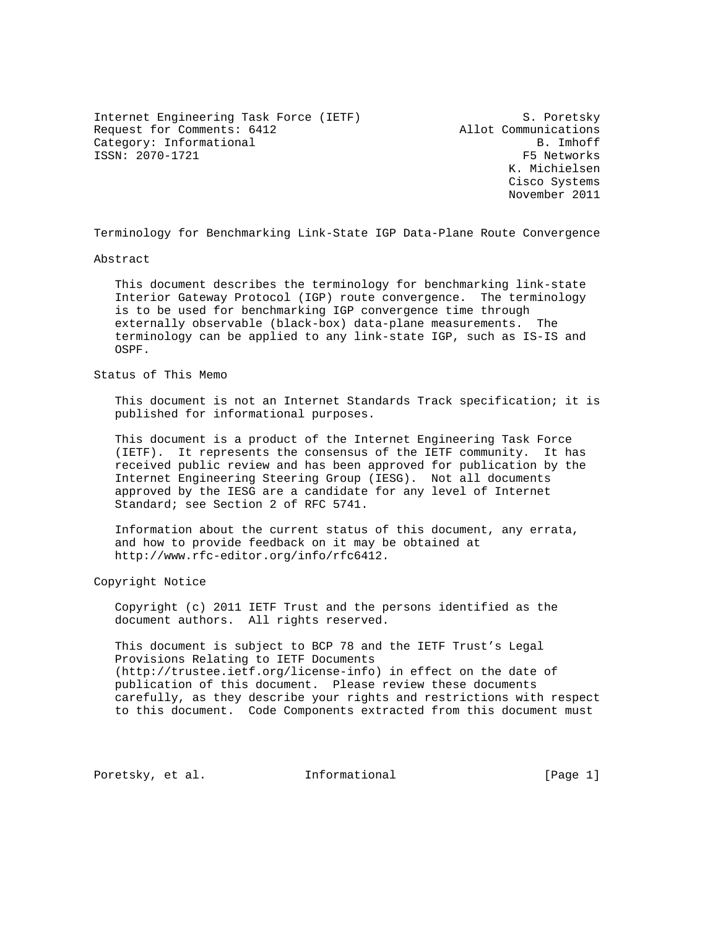Internet Engineering Task Force (IETF) S. Poretsky Request for Comments: 6412 Allot Communications Category: Informational B. Imhoff ISSN: 2070-1721 F5 Networks

 K. Michielsen Cisco Systems November 2011

Terminology for Benchmarking Link-State IGP Data-Plane Route Convergence

#### Abstract

 This document describes the terminology for benchmarking link-state Interior Gateway Protocol (IGP) route convergence. The terminology is to be used for benchmarking IGP convergence time through externally observable (black-box) data-plane measurements. The terminology can be applied to any link-state IGP, such as IS-IS and OSPF.

#### Status of This Memo

 This document is not an Internet Standards Track specification; it is published for informational purposes.

 This document is a product of the Internet Engineering Task Force (IETF). It represents the consensus of the IETF community. It has received public review and has been approved for publication by the Internet Engineering Steering Group (IESG). Not all documents approved by the IESG are a candidate for any level of Internet Standard; see Section 2 of RFC 5741.

 Information about the current status of this document, any errata, and how to provide feedback on it may be obtained at http://www.rfc-editor.org/info/rfc6412.

#### Copyright Notice

 Copyright (c) 2011 IETF Trust and the persons identified as the document authors. All rights reserved.

 This document is subject to BCP 78 and the IETF Trust's Legal Provisions Relating to IETF Documents (http://trustee.ietf.org/license-info) in effect on the date of publication of this document. Please review these documents carefully, as they describe your rights and restrictions with respect to this document. Code Components extracted from this document must

Poretsky, et al. 1nformational [Page 1]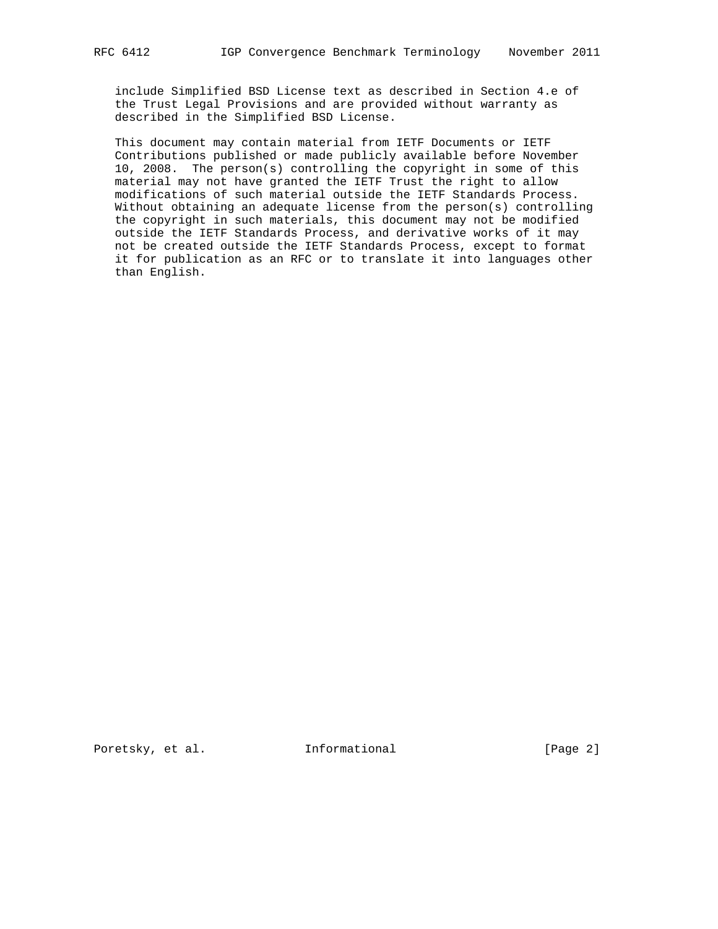include Simplified BSD License text as described in Section 4.e of the Trust Legal Provisions and are provided without warranty as described in the Simplified BSD License.

 This document may contain material from IETF Documents or IETF Contributions published or made publicly available before November 10, 2008. The person(s) controlling the copyright in some of this material may not have granted the IETF Trust the right to allow modifications of such material outside the IETF Standards Process. Without obtaining an adequate license from the person(s) controlling the copyright in such materials, this document may not be modified outside the IETF Standards Process, and derivative works of it may not be created outside the IETF Standards Process, except to format it for publication as an RFC or to translate it into languages other than English.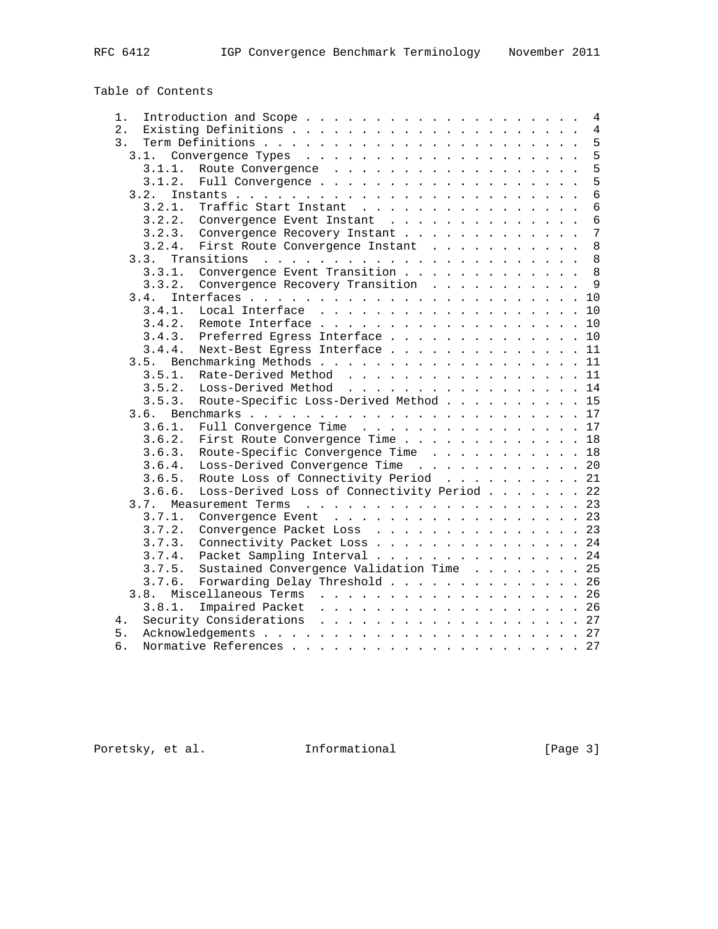# Table of Contents

| 1.     | 4                                                                                                                                                                                                                                                  |
|--------|----------------------------------------------------------------------------------------------------------------------------------------------------------------------------------------------------------------------------------------------------|
| $2$ .  | $\overline{4}$                                                                                                                                                                                                                                     |
| 3.     | 5                                                                                                                                                                                                                                                  |
| 3.1.   | 5                                                                                                                                                                                                                                                  |
| 3.1.1. | 5<br>Route Convergence                                                                                                                                                                                                                             |
| 3.1.2. | 5                                                                                                                                                                                                                                                  |
| 3.2.   | $\overline{6}$                                                                                                                                                                                                                                     |
| 3.2.1. | $\overline{6}$<br>Traffic Start Instant                                                                                                                                                                                                            |
| 3.2.2. | $\epsilon$<br>Convergence Event Instant                                                                                                                                                                                                            |
| 3.2.3. | 7<br>Convergence Recovery Instant                                                                                                                                                                                                                  |
| 3.2.4. | 8<br>First Route Convergence Instant                                                                                                                                                                                                               |
| 3.3.   | 8<br>Transitions<br>and the company of the company of the company of the company of the company of the company of the company of the company of the company of the company of the company of the company of the company of the company of the comp |
| 3.3.1. | Convergence Event Transition<br>8                                                                                                                                                                                                                  |
| 3.3.2. | 9<br>Convergence Recovery Transition                                                                                                                                                                                                               |
| 3.4.   | 10                                                                                                                                                                                                                                                 |
| 3.4.1. | Local Interface<br>10                                                                                                                                                                                                                              |
| 3.4.2. | 10                                                                                                                                                                                                                                                 |
| 3.4.3. | Preferred Egress Interface<br>10                                                                                                                                                                                                                   |
| 3.4.4. | Next-Best Egress Interface<br>11                                                                                                                                                                                                                   |
| 3.5.   | 11                                                                                                                                                                                                                                                 |
| 3.5.1. | Rate-Derived Method<br>11                                                                                                                                                                                                                          |
| 3.5.2. | 14<br>Loss-Derived Method                                                                                                                                                                                                                          |
| 3.5.3. | Route-Specific Loss-Derived Method<br>15                                                                                                                                                                                                           |
| 3.6.   | 17                                                                                                                                                                                                                                                 |
| 3.6.1. | Full Convergence Time 17                                                                                                                                                                                                                           |
| 3.6.2. | 18<br>First Route Convergence Time                                                                                                                                                                                                                 |
| 3.6.3. | 18                                                                                                                                                                                                                                                 |
|        | Route-Specific Convergence Time                                                                                                                                                                                                                    |
| 3.6.4. | Loss-Derived Convergence Time 20                                                                                                                                                                                                                   |
| 3.6.5. | 21<br>Route Loss of Connectivity Period                                                                                                                                                                                                            |
| 3.6.6. | 22<br>Loss-Derived Loss of Connectivity Period                                                                                                                                                                                                     |
| 3.7.   | 23<br>Measurement Terms<br>. The second contribution of the second contribution of the second contribution $\mathcal{L}_\mathcal{A}$                                                                                                               |
| 3.7.1. | Convergence Event 23                                                                                                                                                                                                                               |
| 3.7.2. | 23<br>Convergence Packet Loss                                                                                                                                                                                                                      |
| 3.7.3. | Connectivity Packet Loss<br>24                                                                                                                                                                                                                     |
| 3.7.4. | 24<br>Packet Sampling Interval                                                                                                                                                                                                                     |
| 3.7.5. | Sustained Convergence Validation Time<br>25                                                                                                                                                                                                        |
| 3.7.6. | Forwarding Delay Threshold 26                                                                                                                                                                                                                      |
| 3.8.   | 26                                                                                                                                                                                                                                                 |
| 3.8.1. | Impaired Packet<br>. 26                                                                                                                                                                                                                            |
| 4.     | Security Considerations 27                                                                                                                                                                                                                         |
| 5.     | 27                                                                                                                                                                                                                                                 |
| б.     | 27                                                                                                                                                                                                                                                 |

Poretsky, et al. 1nformational [Page 3]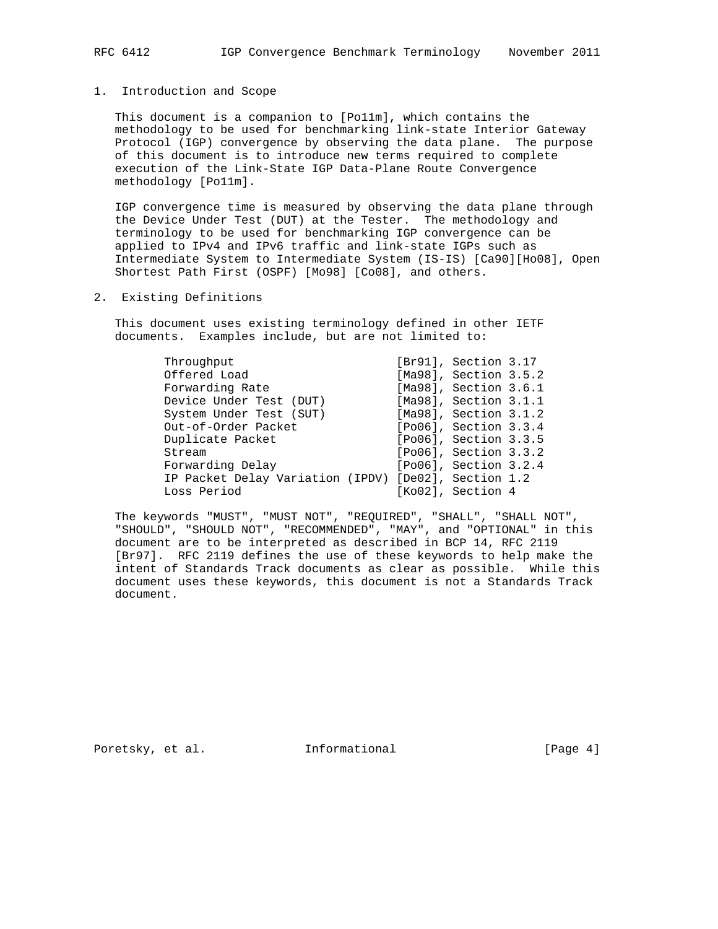#### 1. Introduction and Scope

 This document is a companion to [Po11m], which contains the methodology to be used for benchmarking link-state Interior Gateway Protocol (IGP) convergence by observing the data plane. The purpose of this document is to introduce new terms required to complete execution of the Link-State IGP Data-Plane Route Convergence methodology [Po11m].

 IGP convergence time is measured by observing the data plane through the Device Under Test (DUT) at the Tester. The methodology and terminology to be used for benchmarking IGP convergence can be applied to IPv4 and IPv6 traffic and link-state IGPs such as Intermediate System to Intermediate System (IS-IS) [Ca90][Ho08], Open Shortest Path First (OSPF) [Mo98] [Co08], and others.

2. Existing Definitions

 This document uses existing terminology defined in other IETF documents. Examples include, but are not limited to:

|  | [Br91], Section 3.17<br>[Ma98], Section 3.5.2<br>[Ma98], Section 3.6.1<br>[Ma98], Section 3.1.1<br>[Ma98], Section 3.1.2<br>[Po06], Section 3.3.4<br>[Po06], Section 3.3.5<br>[Po06], Section 3.3.2<br>[Po06], Section 3.2.4<br>IP Packet Delay Variation (IPDV) [De02], Section 1.2<br>[Ko02], Section 4 |
|--|-----------------------------------------------------------------------------------------------------------------------------------------------------------------------------------------------------------------------------------------------------------------------------------------------------------|

 The keywords "MUST", "MUST NOT", "REQUIRED", "SHALL", "SHALL NOT", "SHOULD", "SHOULD NOT", "RECOMMENDED", "MAY", and "OPTIONAL" in this document are to be interpreted as described in BCP 14, RFC 2119 [Br97]. RFC 2119 defines the use of these keywords to help make the intent of Standards Track documents as clear as possible. While this document uses these keywords, this document is not a Standards Track document.

Poretsky, et al. 1nformational [Page 4]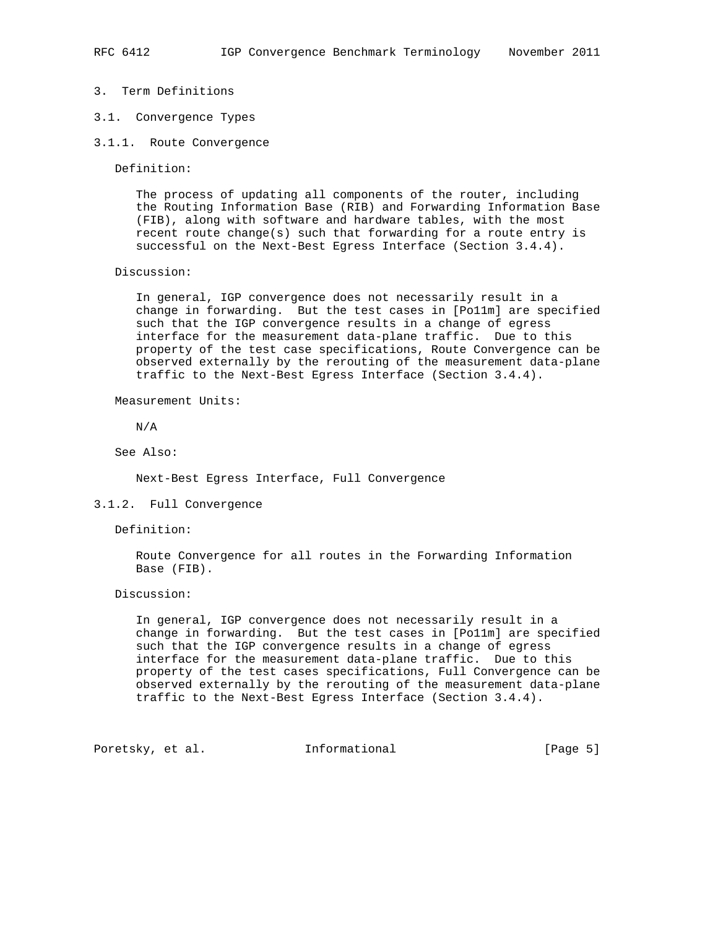- 3. Term Definitions
- 3.1. Convergence Types
- 3.1.1. Route Convergence

Definition:

 The process of updating all components of the router, including the Routing Information Base (RIB) and Forwarding Information Base (FIB), along with software and hardware tables, with the most recent route change(s) such that forwarding for a route entry is successful on the Next-Best Egress Interface (Section 3.4.4).

Discussion:

 In general, IGP convergence does not necessarily result in a change in forwarding. But the test cases in [Po11m] are specified such that the IGP convergence results in a change of egress interface for the measurement data-plane traffic. Due to this property of the test case specifications, Route Convergence can be observed externally by the rerouting of the measurement data-plane traffic to the Next-Best Egress Interface (Section 3.4.4).

Measurement Units:

N/A

See Also:

Next-Best Egress Interface, Full Convergence

3.1.2. Full Convergence

Definition:

 Route Convergence for all routes in the Forwarding Information Base (FIB).

Discussion:

 In general, IGP convergence does not necessarily result in a change in forwarding. But the test cases in [Po11m] are specified such that the IGP convergence results in a change of egress interface for the measurement data-plane traffic. Due to this property of the test cases specifications, Full Convergence can be observed externally by the rerouting of the measurement data-plane traffic to the Next-Best Egress Interface (Section 3.4.4).

Poretsky, et al. 1nformational [Page 5]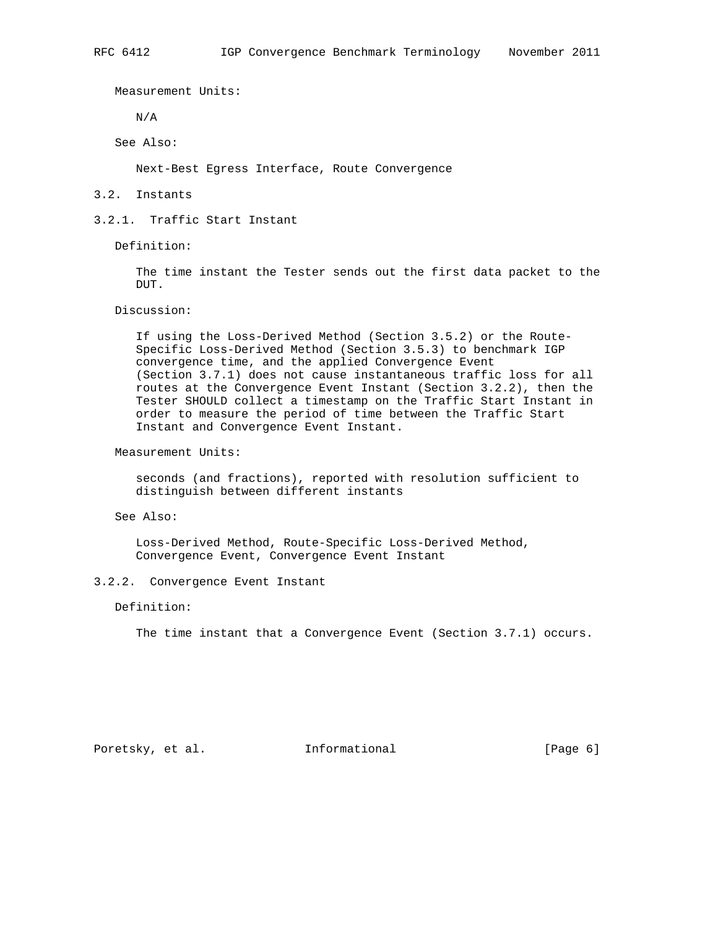Measurement Units:

N/A

See Also:

Next-Best Egress Interface, Route Convergence

### 3.2. Instants

## 3.2.1. Traffic Start Instant

Definition:

 The time instant the Tester sends out the first data packet to the DUT.

Discussion:

 If using the Loss-Derived Method (Section 3.5.2) or the Route- Specific Loss-Derived Method (Section 3.5.3) to benchmark IGP convergence time, and the applied Convergence Event (Section 3.7.1) does not cause instantaneous traffic loss for all routes at the Convergence Event Instant (Section 3.2.2), then the Tester SHOULD collect a timestamp on the Traffic Start Instant in order to measure the period of time between the Traffic Start Instant and Convergence Event Instant.

Measurement Units:

 seconds (and fractions), reported with resolution sufficient to distinguish between different instants

See Also:

 Loss-Derived Method, Route-Specific Loss-Derived Method, Convergence Event, Convergence Event Instant

3.2.2. Convergence Event Instant

Definition:

The time instant that a Convergence Event (Section 3.7.1) occurs.

Poretsky, et al. 1nformational [Page 6]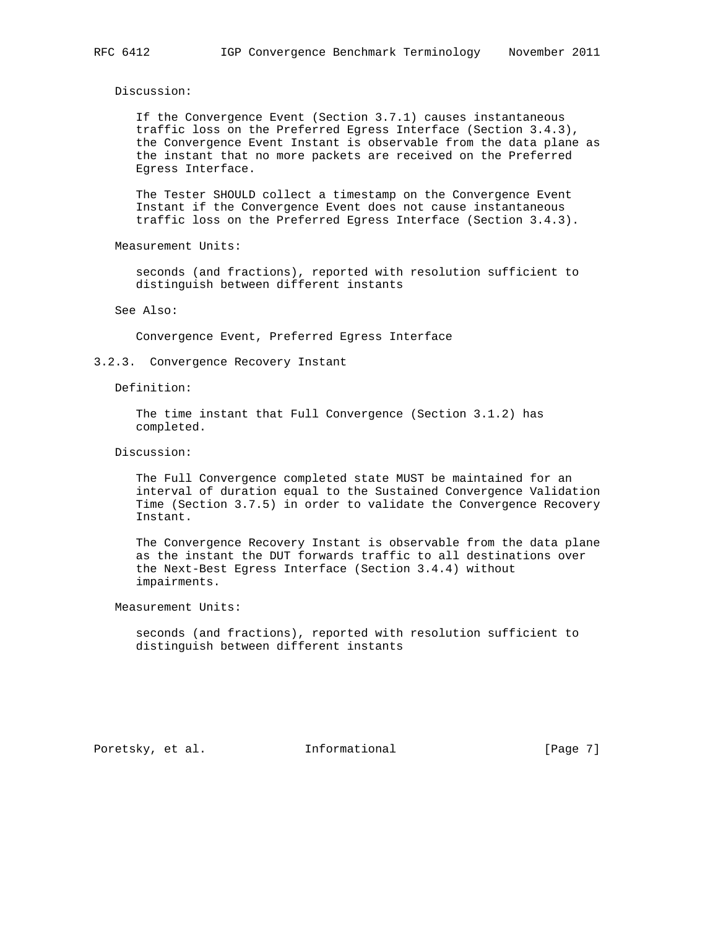Discussion:

 If the Convergence Event (Section 3.7.1) causes instantaneous traffic loss on the Preferred Egress Interface (Section 3.4.3), the Convergence Event Instant is observable from the data plane as the instant that no more packets are received on the Preferred Egress Interface.

 The Tester SHOULD collect a timestamp on the Convergence Event Instant if the Convergence Event does not cause instantaneous traffic loss on the Preferred Egress Interface (Section 3.4.3).

Measurement Units:

 seconds (and fractions), reported with resolution sufficient to distinguish between different instants

See Also:

Convergence Event, Preferred Egress Interface

3.2.3. Convergence Recovery Instant

Definition:

 The time instant that Full Convergence (Section 3.1.2) has completed.

Discussion:

 The Full Convergence completed state MUST be maintained for an interval of duration equal to the Sustained Convergence Validation Time (Section 3.7.5) in order to validate the Convergence Recovery Instant.

 The Convergence Recovery Instant is observable from the data plane as the instant the DUT forwards traffic to all destinations over the Next-Best Egress Interface (Section 3.4.4) without impairments.

Measurement Units:

 seconds (and fractions), reported with resolution sufficient to distinguish between different instants

Poretsky, et al. 1nformational 1999 [Page 7]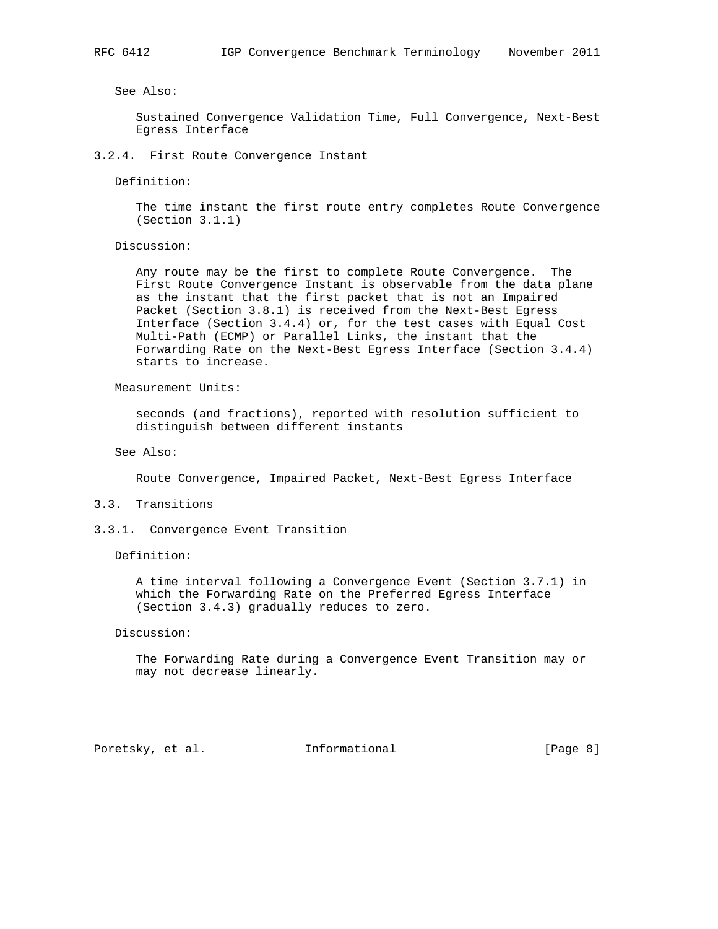See Also:

 Sustained Convergence Validation Time, Full Convergence, Next-Best Egress Interface

3.2.4. First Route Convergence Instant

Definition:

 The time instant the first route entry completes Route Convergence (Section 3.1.1)

Discussion:

 Any route may be the first to complete Route Convergence. The First Route Convergence Instant is observable from the data plane as the instant that the first packet that is not an Impaired Packet (Section 3.8.1) is received from the Next-Best Egress Interface (Section 3.4.4) or, for the test cases with Equal Cost Multi-Path (ECMP) or Parallel Links, the instant that the Forwarding Rate on the Next-Best Egress Interface (Section 3.4.4) starts to increase.

Measurement Units:

 seconds (and fractions), reported with resolution sufficient to distinguish between different instants

See Also:

Route Convergence, Impaired Packet, Next-Best Egress Interface

3.3. Transitions

3.3.1. Convergence Event Transition

Definition:

 A time interval following a Convergence Event (Section 3.7.1) in which the Forwarding Rate on the Preferred Egress Interface (Section 3.4.3) gradually reduces to zero.

Discussion:

 The Forwarding Rate during a Convergence Event Transition may or may not decrease linearly.

Poretsky, et al. 1nformational [Page 8]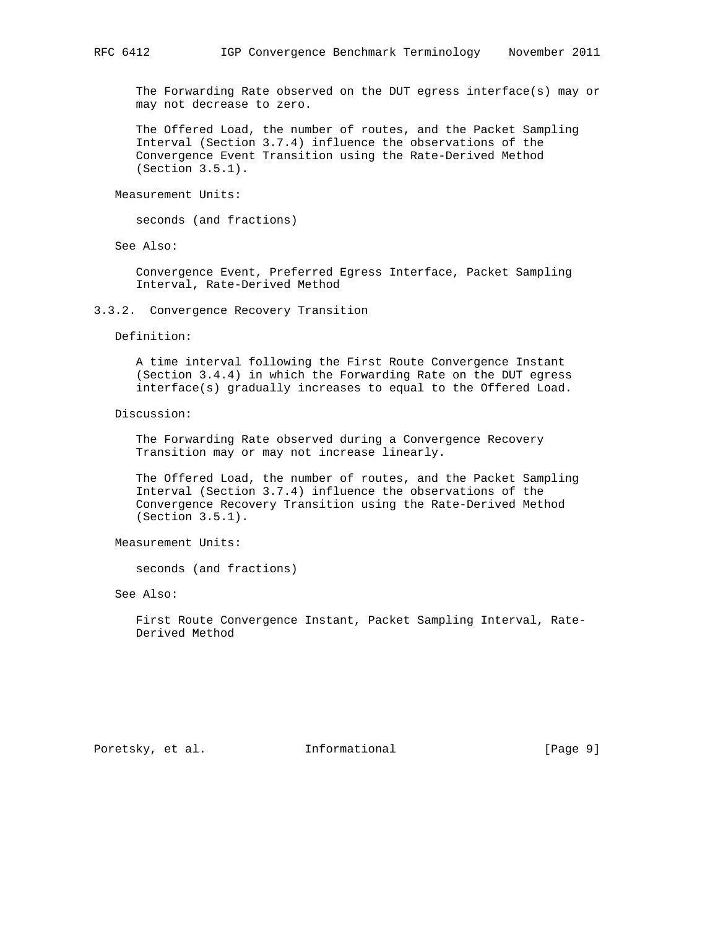The Forwarding Rate observed on the DUT egress interface(s) may or may not decrease to zero.

 The Offered Load, the number of routes, and the Packet Sampling Interval (Section 3.7.4) influence the observations of the Convergence Event Transition using the Rate-Derived Method (Section 3.5.1).

Measurement Units:

seconds (and fractions)

See Also:

 Convergence Event, Preferred Egress Interface, Packet Sampling Interval, Rate-Derived Method

3.3.2. Convergence Recovery Transition

Definition:

 A time interval following the First Route Convergence Instant (Section 3.4.4) in which the Forwarding Rate on the DUT egress interface(s) gradually increases to equal to the Offered Load.

Discussion:

 The Forwarding Rate observed during a Convergence Recovery Transition may or may not increase linearly.

 The Offered Load, the number of routes, and the Packet Sampling Interval (Section 3.7.4) influence the observations of the Convergence Recovery Transition using the Rate-Derived Method (Section 3.5.1).

Measurement Units:

seconds (and fractions)

See Also:

 First Route Convergence Instant, Packet Sampling Interval, Rate- Derived Method

Poretsky, et al. 1nformational 1999 [Page 9]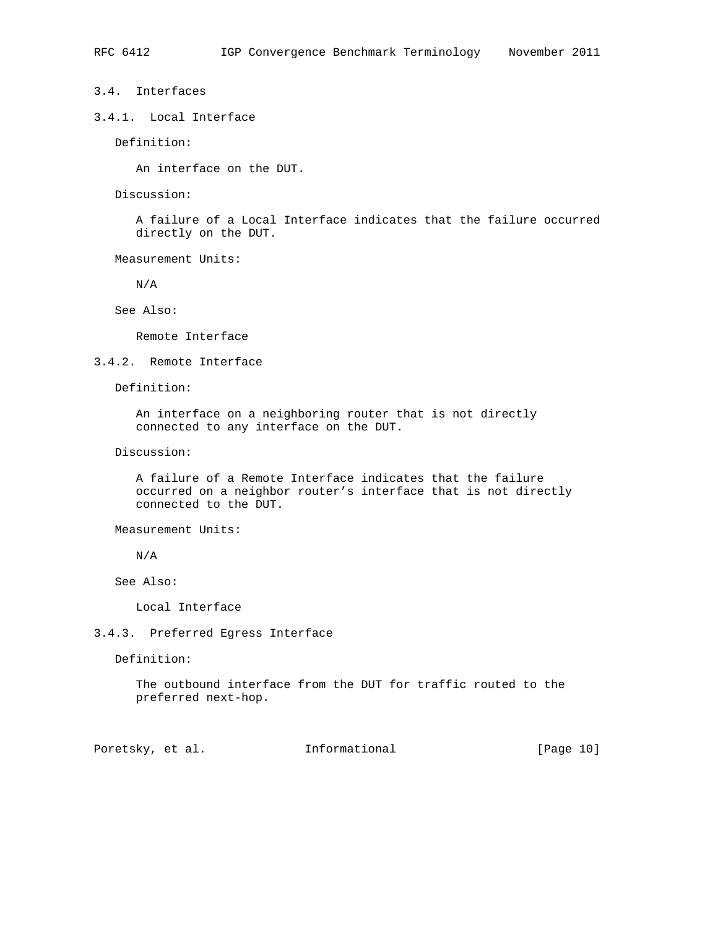## 3.4. Interfaces

3.4.1. Local Interface

Definition:

An interface on the DUT.

Discussion:

 A failure of a Local Interface indicates that the failure occurred directly on the DUT.

Measurement Units:

N/A

See Also:

Remote Interface

## 3.4.2. Remote Interface

Definition:

 An interface on a neighboring router that is not directly connected to any interface on the DUT.

Discussion:

 A failure of a Remote Interface indicates that the failure occurred on a neighbor router's interface that is not directly connected to the DUT.

Measurement Units:

N/A

See Also:

Local Interface

3.4.3. Preferred Egress Interface

Definition:

 The outbound interface from the DUT for traffic routed to the preferred next-hop.

Poretsky, et al. 1nformational [Page 10]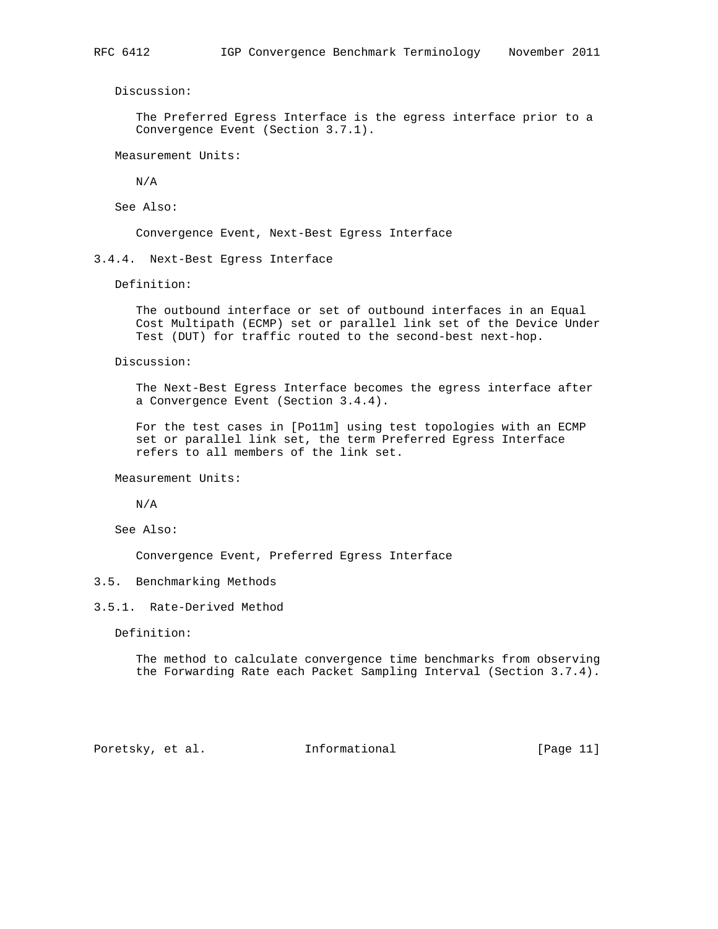Discussion:

 The Preferred Egress Interface is the egress interface prior to a Convergence Event (Section 3.7.1).

Measurement Units:

N/A

See Also:

Convergence Event, Next-Best Egress Interface

3.4.4. Next-Best Egress Interface

Definition:

 The outbound interface or set of outbound interfaces in an Equal Cost Multipath (ECMP) set or parallel link set of the Device Under Test (DUT) for traffic routed to the second-best next-hop.

Discussion:

 The Next-Best Egress Interface becomes the egress interface after a Convergence Event (Section 3.4.4).

 For the test cases in [Po11m] using test topologies with an ECMP set or parallel link set, the term Preferred Egress Interface refers to all members of the link set.

Measurement Units:

N/A

See Also:

Convergence Event, Preferred Egress Interface

## 3.5. Benchmarking Methods

3.5.1. Rate-Derived Method

Definition:

 The method to calculate convergence time benchmarks from observing the Forwarding Rate each Packet Sampling Interval (Section 3.7.4).

Poretsky, et al. Informational [Page 11]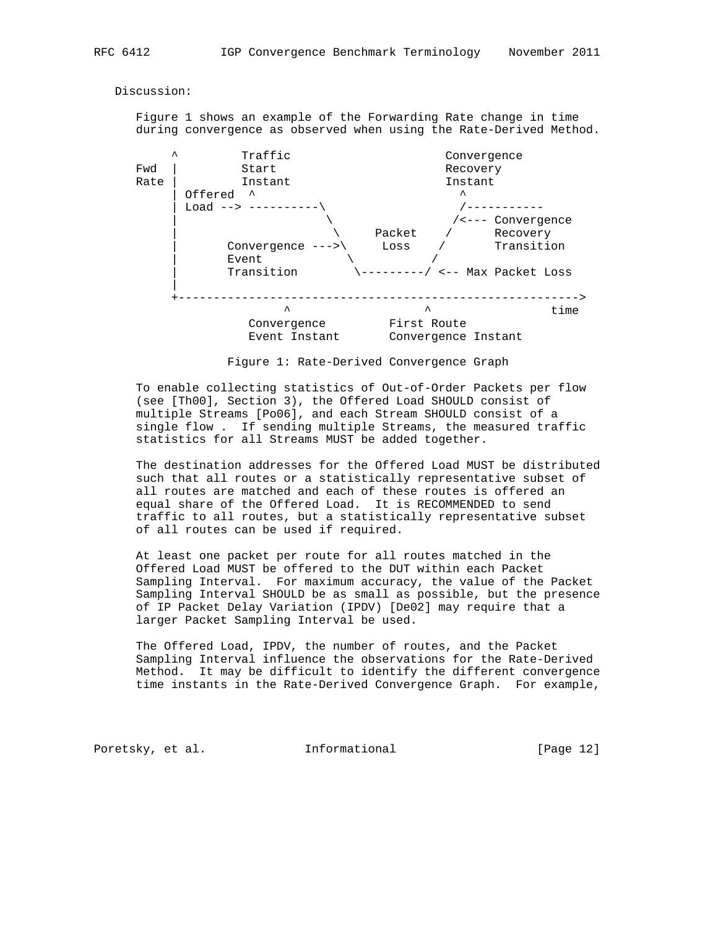Discussion:

 Figure 1 shows an example of the Forwarding Rate change in time during convergence as observed when using the Rate-Derived Method.



Figure 1: Rate-Derived Convergence Graph

 To enable collecting statistics of Out-of-Order Packets per flow (see [Th00], Section 3), the Offered Load SHOULD consist of multiple Streams [Po06], and each Stream SHOULD consist of a single flow . If sending multiple Streams, the measured traffic statistics for all Streams MUST be added together.

 The destination addresses for the Offered Load MUST be distributed such that all routes or a statistically representative subset of all routes are matched and each of these routes is offered an equal share of the Offered Load. It is RECOMMENDED to send traffic to all routes, but a statistically representative subset of all routes can be used if required.

 At least one packet per route for all routes matched in the Offered Load MUST be offered to the DUT within each Packet Sampling Interval. For maximum accuracy, the value of the Packet Sampling Interval SHOULD be as small as possible, but the presence of IP Packet Delay Variation (IPDV) [De02] may require that a larger Packet Sampling Interval be used.

 The Offered Load, IPDV, the number of routes, and the Packet Sampling Interval influence the observations for the Rate-Derived Method. It may be difficult to identify the different convergence time instants in the Rate-Derived Convergence Graph. For example,

Poretsky, et al. 1nformational [Page 12]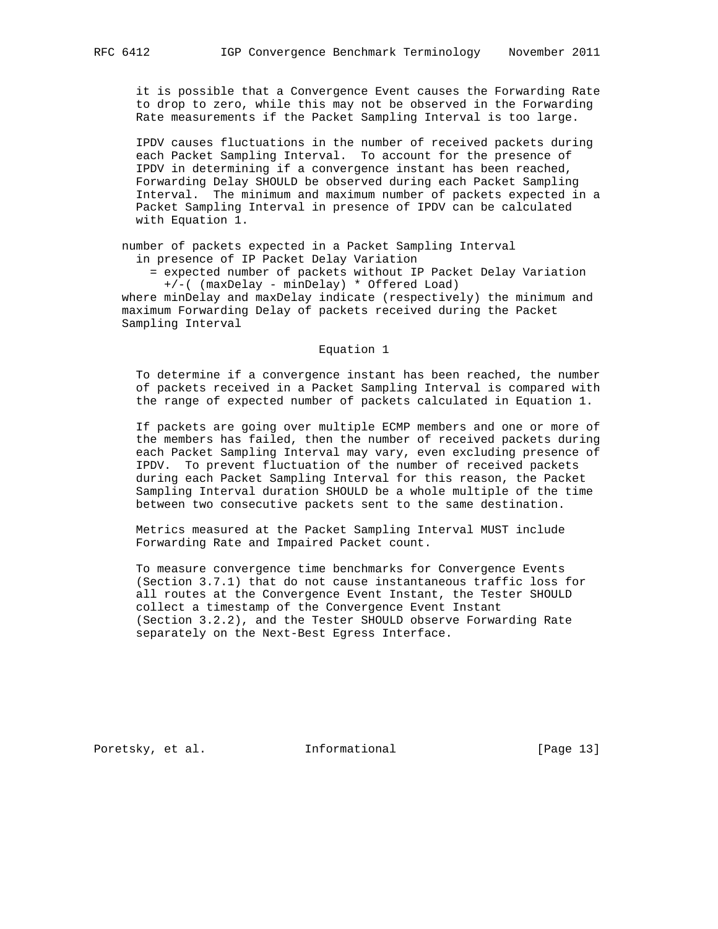it is possible that a Convergence Event causes the Forwarding Rate to drop to zero, while this may not be observed in the Forwarding Rate measurements if the Packet Sampling Interval is too large.

 IPDV causes fluctuations in the number of received packets during each Packet Sampling Interval. To account for the presence of IPDV in determining if a convergence instant has been reached, Forwarding Delay SHOULD be observed during each Packet Sampling Interval. The minimum and maximum number of packets expected in a Packet Sampling Interval in presence of IPDV can be calculated with Equation 1.

 number of packets expected in a Packet Sampling Interval in presence of IP Packet Delay Variation

 = expected number of packets without IP Packet Delay Variation +/-( (maxDelay - minDelay) \* Offered Load)

 where minDelay and maxDelay indicate (respectively) the minimum and maximum Forwarding Delay of packets received during the Packet Sampling Interval

#### Equation 1

 To determine if a convergence instant has been reached, the number of packets received in a Packet Sampling Interval is compared with the range of expected number of packets calculated in Equation 1.

 If packets are going over multiple ECMP members and one or more of the members has failed, then the number of received packets during each Packet Sampling Interval may vary, even excluding presence of IPDV. To prevent fluctuation of the number of received packets during each Packet Sampling Interval for this reason, the Packet Sampling Interval duration SHOULD be a whole multiple of the time between two consecutive packets sent to the same destination.

 Metrics measured at the Packet Sampling Interval MUST include Forwarding Rate and Impaired Packet count.

 To measure convergence time benchmarks for Convergence Events (Section 3.7.1) that do not cause instantaneous traffic loss for all routes at the Convergence Event Instant, the Tester SHOULD collect a timestamp of the Convergence Event Instant (Section 3.2.2), and the Tester SHOULD observe Forwarding Rate separately on the Next-Best Egress Interface.

Poretsky, et al. 1nformational [Page 13]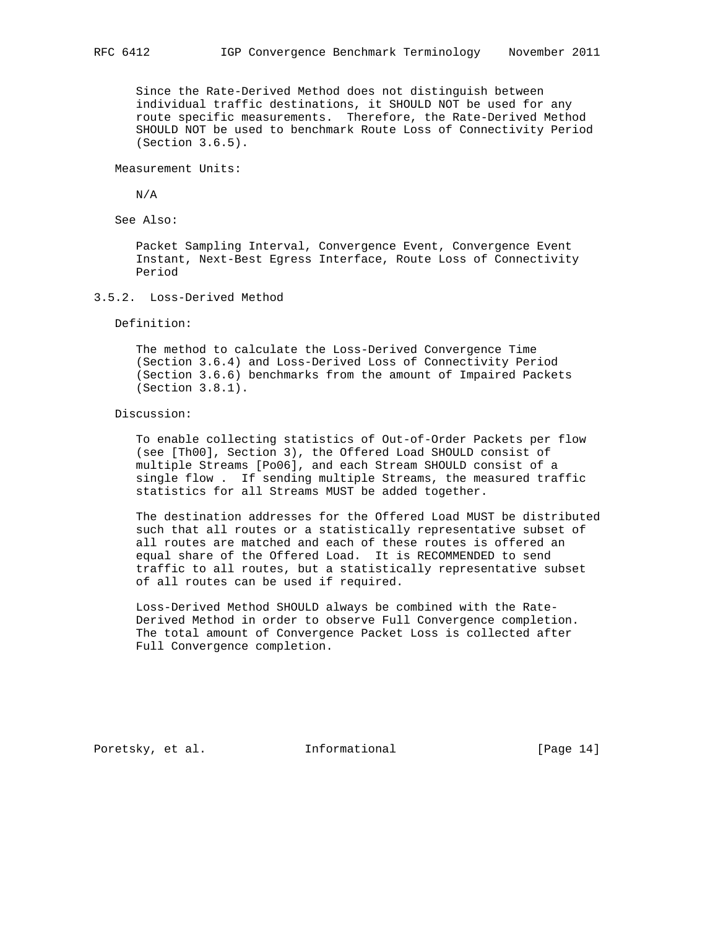Since the Rate-Derived Method does not distinguish between individual traffic destinations, it SHOULD NOT be used for any route specific measurements. Therefore, the Rate-Derived Method SHOULD NOT be used to benchmark Route Loss of Connectivity Period (Section 3.6.5).

Measurement Units:

N/A

See Also:

 Packet Sampling Interval, Convergence Event, Convergence Event Instant, Next-Best Egress Interface, Route Loss of Connectivity Period

3.5.2. Loss-Derived Method

Definition:

 The method to calculate the Loss-Derived Convergence Time (Section 3.6.4) and Loss-Derived Loss of Connectivity Period (Section 3.6.6) benchmarks from the amount of Impaired Packets (Section 3.8.1).

Discussion:

 To enable collecting statistics of Out-of-Order Packets per flow (see [Th00], Section 3), the Offered Load SHOULD consist of multiple Streams [Po06], and each Stream SHOULD consist of a single flow . If sending multiple Streams, the measured traffic statistics for all Streams MUST be added together.

 The destination addresses for the Offered Load MUST be distributed such that all routes or a statistically representative subset of all routes are matched and each of these routes is offered an equal share of the Offered Load. It is RECOMMENDED to send traffic to all routes, but a statistically representative subset of all routes can be used if required.

 Loss-Derived Method SHOULD always be combined with the Rate- Derived Method in order to observe Full Convergence completion. The total amount of Convergence Packet Loss is collected after Full Convergence completion.

Poretsky, et al. 1nformational [Page 14]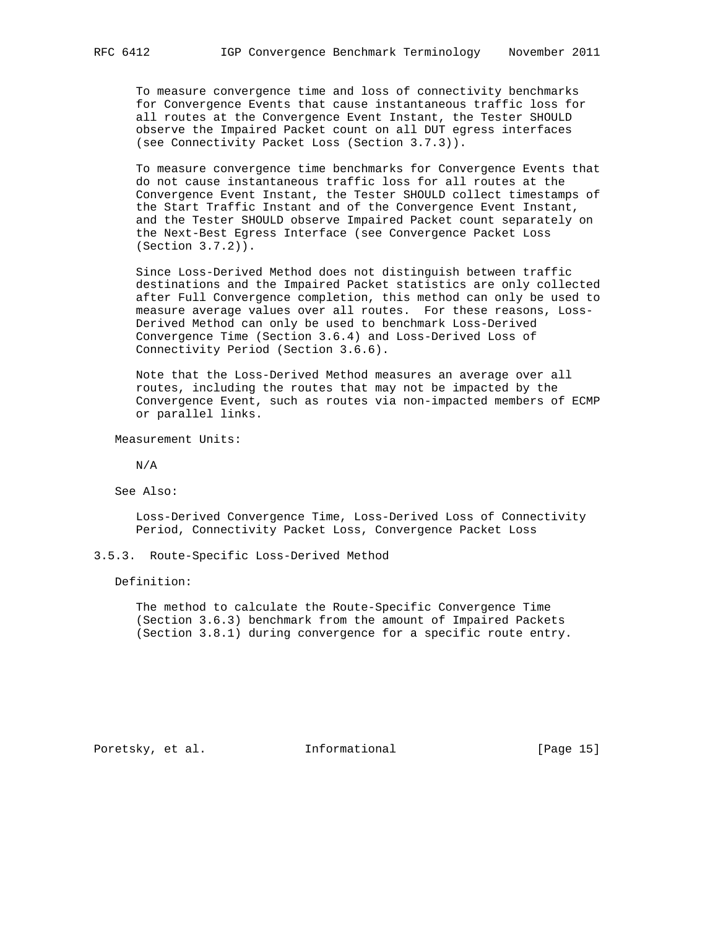To measure convergence time and loss of connectivity benchmarks for Convergence Events that cause instantaneous traffic loss for all routes at the Convergence Event Instant, the Tester SHOULD observe the Impaired Packet count on all DUT egress interfaces (see Connectivity Packet Loss (Section 3.7.3)).

 To measure convergence time benchmarks for Convergence Events that do not cause instantaneous traffic loss for all routes at the Convergence Event Instant, the Tester SHOULD collect timestamps of the Start Traffic Instant and of the Convergence Event Instant, and the Tester SHOULD observe Impaired Packet count separately on the Next-Best Egress Interface (see Convergence Packet Loss (Section 3.7.2)).

 Since Loss-Derived Method does not distinguish between traffic destinations and the Impaired Packet statistics are only collected after Full Convergence completion, this method can only be used to measure average values over all routes. For these reasons, Loss- Derived Method can only be used to benchmark Loss-Derived Convergence Time (Section 3.6.4) and Loss-Derived Loss of Connectivity Period (Section 3.6.6).

 Note that the Loss-Derived Method measures an average over all routes, including the routes that may not be impacted by the Convergence Event, such as routes via non-impacted members of ECMP or parallel links.

Measurement Units:

N/A

See Also:

 Loss-Derived Convergence Time, Loss-Derived Loss of Connectivity Period, Connectivity Packet Loss, Convergence Packet Loss

3.5.3. Route-Specific Loss-Derived Method

Definition:

 The method to calculate the Route-Specific Convergence Time (Section 3.6.3) benchmark from the amount of Impaired Packets (Section 3.8.1) during convergence for a specific route entry.

Poretsky, et al. 1nformational [Page 15]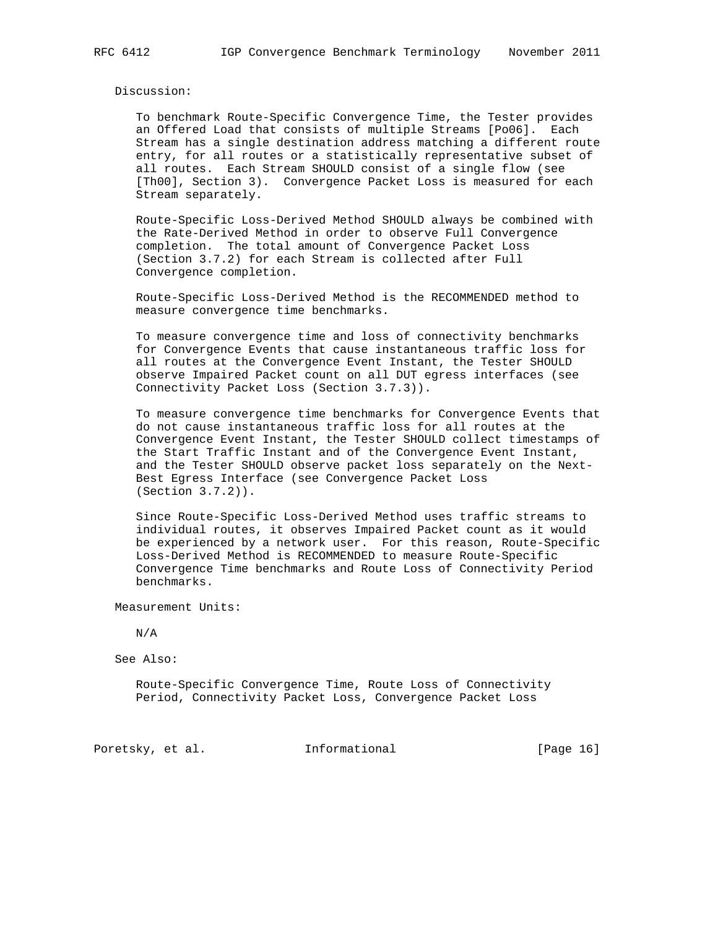#### Discussion:

 To benchmark Route-Specific Convergence Time, the Tester provides an Offered Load that consists of multiple Streams [Po06]. Each Stream has a single destination address matching a different route entry, for all routes or a statistically representative subset of all routes. Each Stream SHOULD consist of a single flow (see [Th00], Section 3). Convergence Packet Loss is measured for each Stream separately.

 Route-Specific Loss-Derived Method SHOULD always be combined with the Rate-Derived Method in order to observe Full Convergence completion. The total amount of Convergence Packet Loss (Section 3.7.2) for each Stream is collected after Full Convergence completion.

 Route-Specific Loss-Derived Method is the RECOMMENDED method to measure convergence time benchmarks.

 To measure convergence time and loss of connectivity benchmarks for Convergence Events that cause instantaneous traffic loss for all routes at the Convergence Event Instant, the Tester SHOULD observe Impaired Packet count on all DUT egress interfaces (see Connectivity Packet Loss (Section 3.7.3)).

 To measure convergence time benchmarks for Convergence Events that do not cause instantaneous traffic loss for all routes at the Convergence Event Instant, the Tester SHOULD collect timestamps of the Start Traffic Instant and of the Convergence Event Instant, and the Tester SHOULD observe packet loss separately on the Next- Best Egress Interface (see Convergence Packet Loss (Section 3.7.2)).

 Since Route-Specific Loss-Derived Method uses traffic streams to individual routes, it observes Impaired Packet count as it would be experienced by a network user. For this reason, Route-Specific Loss-Derived Method is RECOMMENDED to measure Route-Specific Convergence Time benchmarks and Route Loss of Connectivity Period benchmarks.

Measurement Units:

N/A

See Also:

 Route-Specific Convergence Time, Route Loss of Connectivity Period, Connectivity Packet Loss, Convergence Packet Loss

Poretsky, et al. 1nformational [Page 16]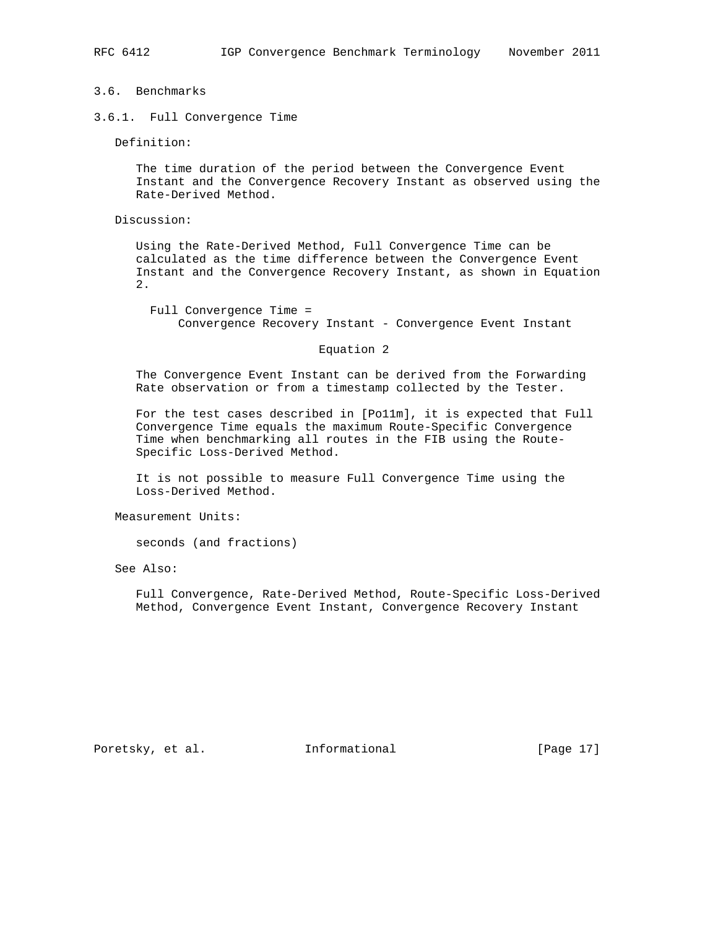## 3.6. Benchmarks

3.6.1. Full Convergence Time

Definition:

 The time duration of the period between the Convergence Event Instant and the Convergence Recovery Instant as observed using the Rate-Derived Method.

Discussion:

 Using the Rate-Derived Method, Full Convergence Time can be calculated as the time difference between the Convergence Event Instant and the Convergence Recovery Instant, as shown in Equation 2.

 Full Convergence Time = Convergence Recovery Instant - Convergence Event Instant

#### Equation 2

 The Convergence Event Instant can be derived from the Forwarding Rate observation or from a timestamp collected by the Tester.

 For the test cases described in [Po11m], it is expected that Full Convergence Time equals the maximum Route-Specific Convergence Time when benchmarking all routes in the FIB using the Route- Specific Loss-Derived Method.

 It is not possible to measure Full Convergence Time using the Loss-Derived Method.

Measurement Units:

seconds (and fractions)

See Also:

 Full Convergence, Rate-Derived Method, Route-Specific Loss-Derived Method, Convergence Event Instant, Convergence Recovery Instant

Poretsky, et al. 1nformational [Page 17]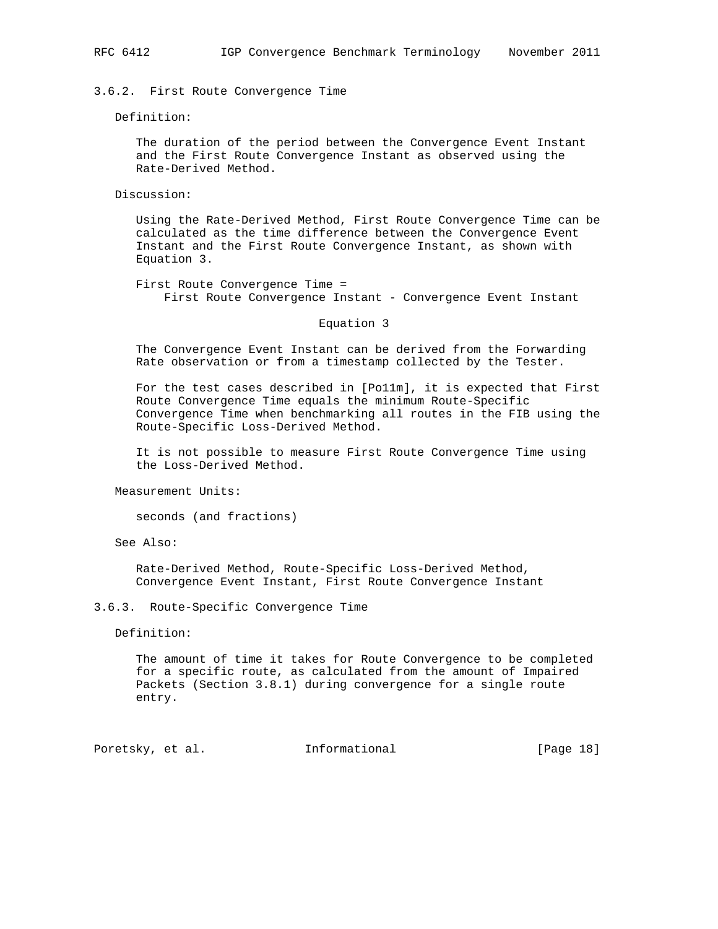3.6.2. First Route Convergence Time

Definition:

 The duration of the period between the Convergence Event Instant and the First Route Convergence Instant as observed using the Rate-Derived Method.

Discussion:

 Using the Rate-Derived Method, First Route Convergence Time can be calculated as the time difference between the Convergence Event Instant and the First Route Convergence Instant, as shown with Equation 3.

 First Route Convergence Time = First Route Convergence Instant - Convergence Event Instant

Equation 3

 The Convergence Event Instant can be derived from the Forwarding Rate observation or from a timestamp collected by the Tester.

 For the test cases described in [Po11m], it is expected that First Route Convergence Time equals the minimum Route-Specific Convergence Time when benchmarking all routes in the FIB using the Route-Specific Loss-Derived Method.

 It is not possible to measure First Route Convergence Time using the Loss-Derived Method.

Measurement Units:

seconds (and fractions)

See Also:

 Rate-Derived Method, Route-Specific Loss-Derived Method, Convergence Event Instant, First Route Convergence Instant

3.6.3. Route-Specific Convergence Time

Definition:

 The amount of time it takes for Route Convergence to be completed for a specific route, as calculated from the amount of Impaired Packets (Section 3.8.1) during convergence for a single route entry.

Poretsky, et al. Informational [Page 18]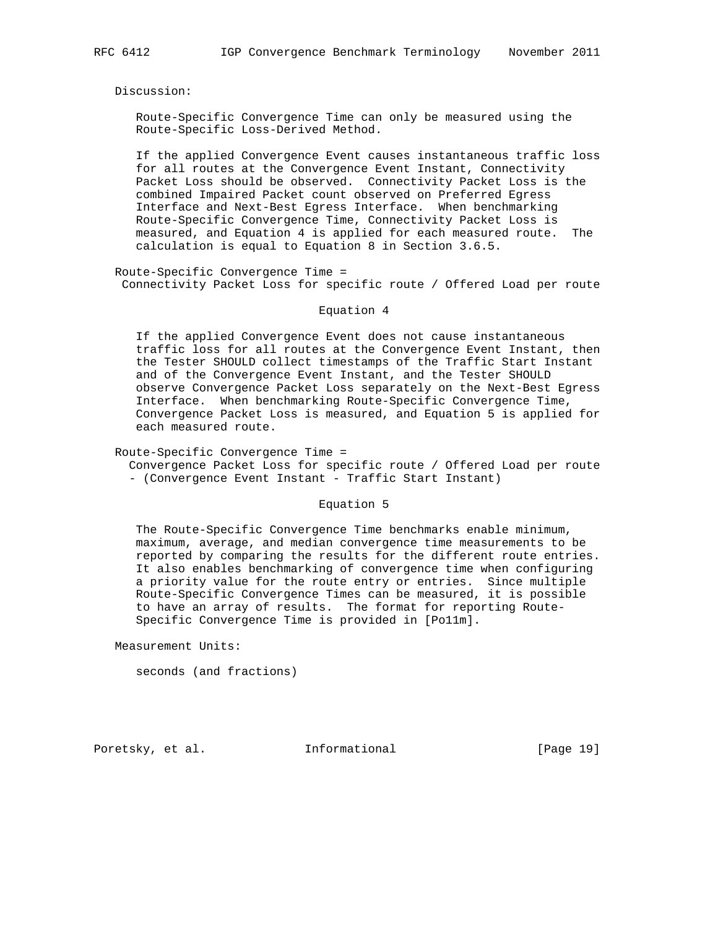Discussion:

 Route-Specific Convergence Time can only be measured using the Route-Specific Loss-Derived Method.

 If the applied Convergence Event causes instantaneous traffic loss for all routes at the Convergence Event Instant, Connectivity Packet Loss should be observed. Connectivity Packet Loss is the combined Impaired Packet count observed on Preferred Egress Interface and Next-Best Egress Interface. When benchmarking Route-Specific Convergence Time, Connectivity Packet Loss is measured, and Equation 4 is applied for each measured route. The calculation is equal to Equation 8 in Section 3.6.5.

 Route-Specific Convergence Time = Connectivity Packet Loss for specific route / Offered Load per route

#### Equation 4

 If the applied Convergence Event does not cause instantaneous traffic loss for all routes at the Convergence Event Instant, then the Tester SHOULD collect timestamps of the Traffic Start Instant and of the Convergence Event Instant, and the Tester SHOULD observe Convergence Packet Loss separately on the Next-Best Egress Interface. When benchmarking Route-Specific Convergence Time, Convergence Packet Loss is measured, and Equation 5 is applied for each measured route.

Route-Specific Convergence Time =

 Convergence Packet Loss for specific route / Offered Load per route - (Convergence Event Instant - Traffic Start Instant)

Equation 5

 The Route-Specific Convergence Time benchmarks enable minimum, maximum, average, and median convergence time measurements to be reported by comparing the results for the different route entries. It also enables benchmarking of convergence time when configuring a priority value for the route entry or entries. Since multiple Route-Specific Convergence Times can be measured, it is possible to have an array of results. The format for reporting Route- Specific Convergence Time is provided in [Po11m].

Measurement Units:

seconds (and fractions)

Poretsky, et al. Informational [Page 19]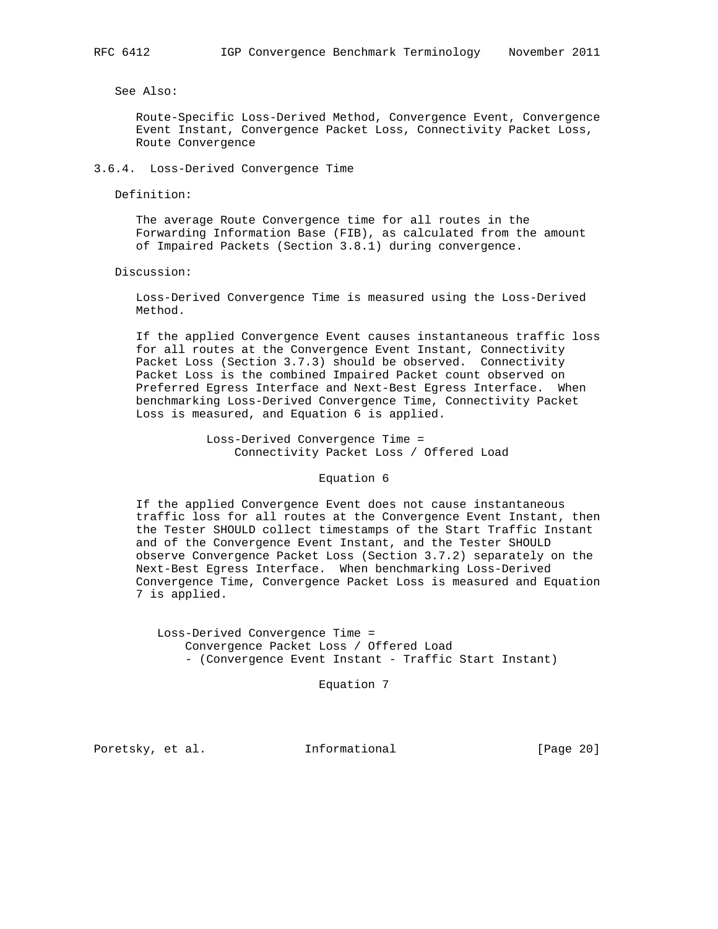See Also:

 Route-Specific Loss-Derived Method, Convergence Event, Convergence Event Instant, Convergence Packet Loss, Connectivity Packet Loss, Route Convergence

3.6.4. Loss-Derived Convergence Time

Definition:

 The average Route Convergence time for all routes in the Forwarding Information Base (FIB), as calculated from the amount of Impaired Packets (Section 3.8.1) during convergence.

Discussion:

 Loss-Derived Convergence Time is measured using the Loss-Derived Method.

 If the applied Convergence Event causes instantaneous traffic loss for all routes at the Convergence Event Instant, Connectivity Packet Loss (Section 3.7.3) should be observed. Connectivity Packet Loss is the combined Impaired Packet count observed on Preferred Egress Interface and Next-Best Egress Interface. When benchmarking Loss-Derived Convergence Time, Connectivity Packet Loss is measured, and Equation 6 is applied.

> Loss-Derived Convergence Time = Connectivity Packet Loss / Offered Load

> > Equation 6

 If the applied Convergence Event does not cause instantaneous traffic loss for all routes at the Convergence Event Instant, then the Tester SHOULD collect timestamps of the Start Traffic Instant and of the Convergence Event Instant, and the Tester SHOULD observe Convergence Packet Loss (Section 3.7.2) separately on the Next-Best Egress Interface. When benchmarking Loss-Derived Convergence Time, Convergence Packet Loss is measured and Equation 7 is applied.

 Loss-Derived Convergence Time = Convergence Packet Loss / Offered Load - (Convergence Event Instant - Traffic Start Instant)

Equation 7

Poretsky, et al. Informational [Page 20]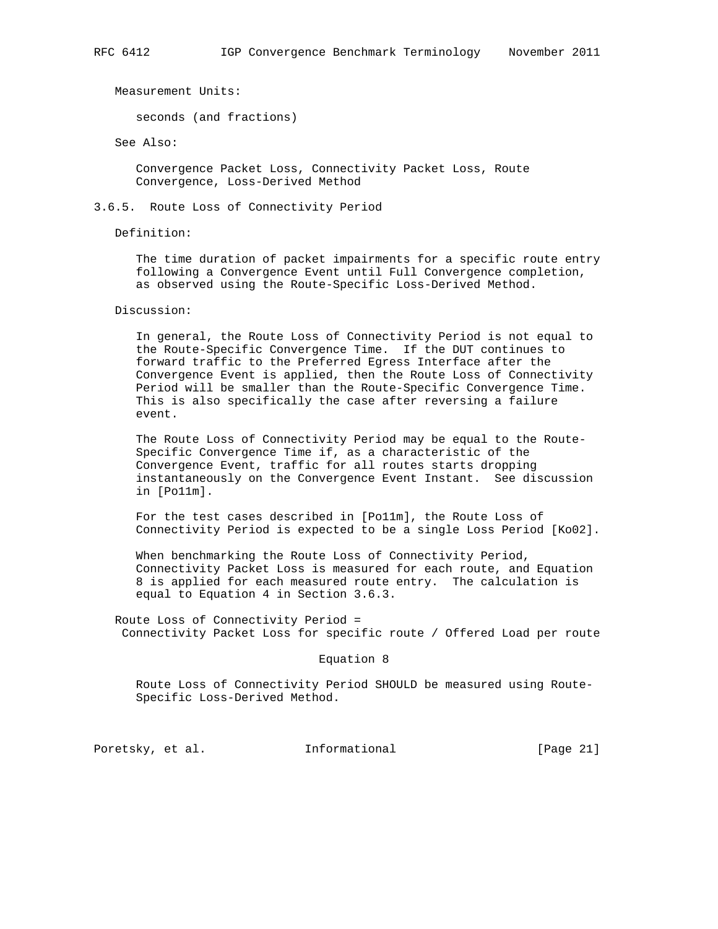Measurement Units:

seconds (and fractions)

See Also:

 Convergence Packet Loss, Connectivity Packet Loss, Route Convergence, Loss-Derived Method

3.6.5. Route Loss of Connectivity Period

Definition:

 The time duration of packet impairments for a specific route entry following a Convergence Event until Full Convergence completion, as observed using the Route-Specific Loss-Derived Method.

Discussion:

 In general, the Route Loss of Connectivity Period is not equal to the Route-Specific Convergence Time. If the DUT continues to forward traffic to the Preferred Egress Interface after the Convergence Event is applied, then the Route Loss of Connectivity Period will be smaller than the Route-Specific Convergence Time. This is also specifically the case after reversing a failure event.

 The Route Loss of Connectivity Period may be equal to the Route- Specific Convergence Time if, as a characteristic of the Convergence Event, traffic for all routes starts dropping instantaneously on the Convergence Event Instant. See discussion in [Po11m].

 For the test cases described in [Po11m], the Route Loss of Connectivity Period is expected to be a single Loss Period [Ko02].

 When benchmarking the Route Loss of Connectivity Period, Connectivity Packet Loss is measured for each route, and Equation 8 is applied for each measured route entry. The calculation is equal to Equation 4 in Section 3.6.3.

 Route Loss of Connectivity Period = Connectivity Packet Loss for specific route / Offered Load per route

Equation 8

 Route Loss of Connectivity Period SHOULD be measured using Route- Specific Loss-Derived Method.

Poretsky, et al. 1nformational [Page 21]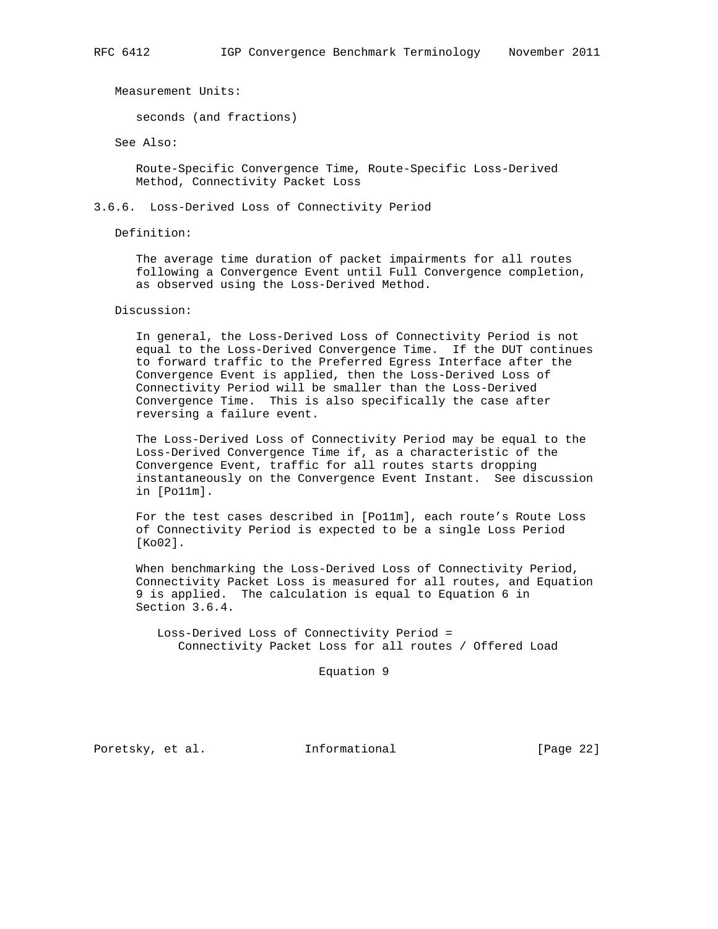Measurement Units:

seconds (and fractions)

See Also:

 Route-Specific Convergence Time, Route-Specific Loss-Derived Method, Connectivity Packet Loss

## 3.6.6. Loss-Derived Loss of Connectivity Period

Definition:

 The average time duration of packet impairments for all routes following a Convergence Event until Full Convergence completion, as observed using the Loss-Derived Method.

Discussion:

 In general, the Loss-Derived Loss of Connectivity Period is not equal to the Loss-Derived Convergence Time. If the DUT continues to forward traffic to the Preferred Egress Interface after the Convergence Event is applied, then the Loss-Derived Loss of Connectivity Period will be smaller than the Loss-Derived Convergence Time. This is also specifically the case after reversing a failure event.

 The Loss-Derived Loss of Connectivity Period may be equal to the Loss-Derived Convergence Time if, as a characteristic of the Convergence Event, traffic for all routes starts dropping instantaneously on the Convergence Event Instant. See discussion in [Po11m].

 For the test cases described in [Po11m], each route's Route Loss of Connectivity Period is expected to be a single Loss Period [Ko02].

 When benchmarking the Loss-Derived Loss of Connectivity Period, Connectivity Packet Loss is measured for all routes, and Equation 9 is applied. The calculation is equal to Equation 6 in Section 3.6.4.

 Loss-Derived Loss of Connectivity Period = Connectivity Packet Loss for all routes / Offered Load

Equation 9

Poretsky, et al. 1nformational [Page 22]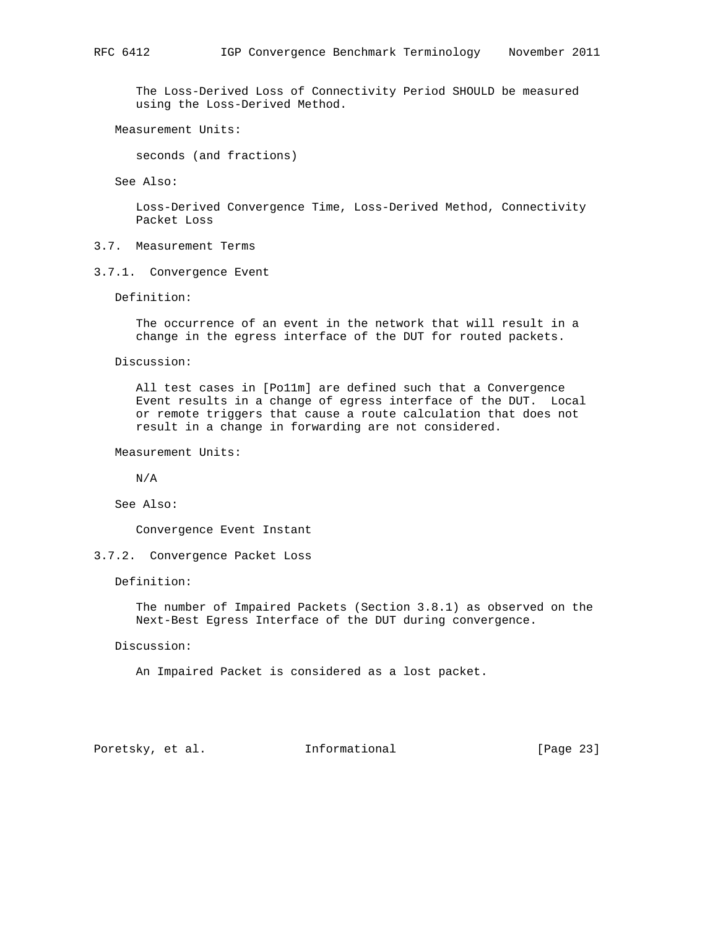The Loss-Derived Loss of Connectivity Period SHOULD be measured using the Loss-Derived Method.

Measurement Units:

seconds (and fractions)

See Also:

 Loss-Derived Convergence Time, Loss-Derived Method, Connectivity Packet Loss

- 3.7. Measurement Terms
- 3.7.1. Convergence Event

Definition:

 The occurrence of an event in the network that will result in a change in the egress interface of the DUT for routed packets.

Discussion:

 All test cases in [Po11m] are defined such that a Convergence Event results in a change of egress interface of the DUT. Local or remote triggers that cause a route calculation that does not result in a change in forwarding are not considered.

Measurement Units:

N/A

See Also:

Convergence Event Instant

3.7.2. Convergence Packet Loss

Definition:

 The number of Impaired Packets (Section 3.8.1) as observed on the Next-Best Egress Interface of the DUT during convergence.

Discussion:

An Impaired Packet is considered as a lost packet.

Poretsky, et al. Informational [Page 23]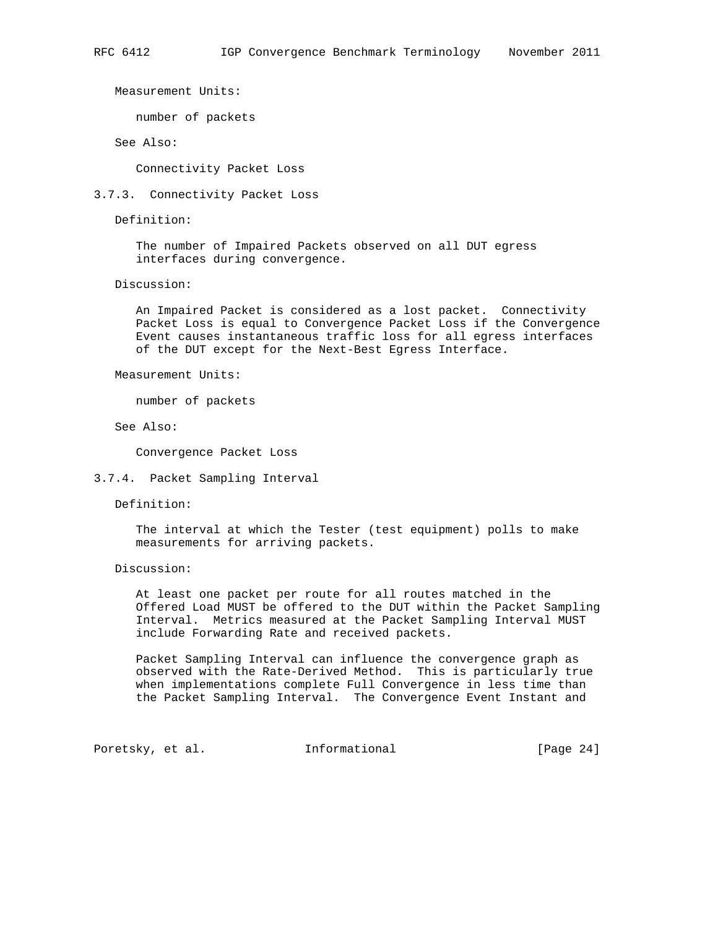Measurement Units:

number of packets

See Also:

Connectivity Packet Loss

3.7.3. Connectivity Packet Loss

Definition:

 The number of Impaired Packets observed on all DUT egress interfaces during convergence.

Discussion:

 An Impaired Packet is considered as a lost packet. Connectivity Packet Loss is equal to Convergence Packet Loss if the Convergence Event causes instantaneous traffic loss for all egress interfaces of the DUT except for the Next-Best Egress Interface.

Measurement Units:

number of packets

See Also:

Convergence Packet Loss

3.7.4. Packet Sampling Interval

Definition:

 The interval at which the Tester (test equipment) polls to make measurements for arriving packets.

Discussion:

 At least one packet per route for all routes matched in the Offered Load MUST be offered to the DUT within the Packet Sampling Interval. Metrics measured at the Packet Sampling Interval MUST include Forwarding Rate and received packets.

 Packet Sampling Interval can influence the convergence graph as observed with the Rate-Derived Method. This is particularly true when implementations complete Full Convergence in less time than the Packet Sampling Interval. The Convergence Event Instant and

Poretsky, et al. 1nformational [Page 24]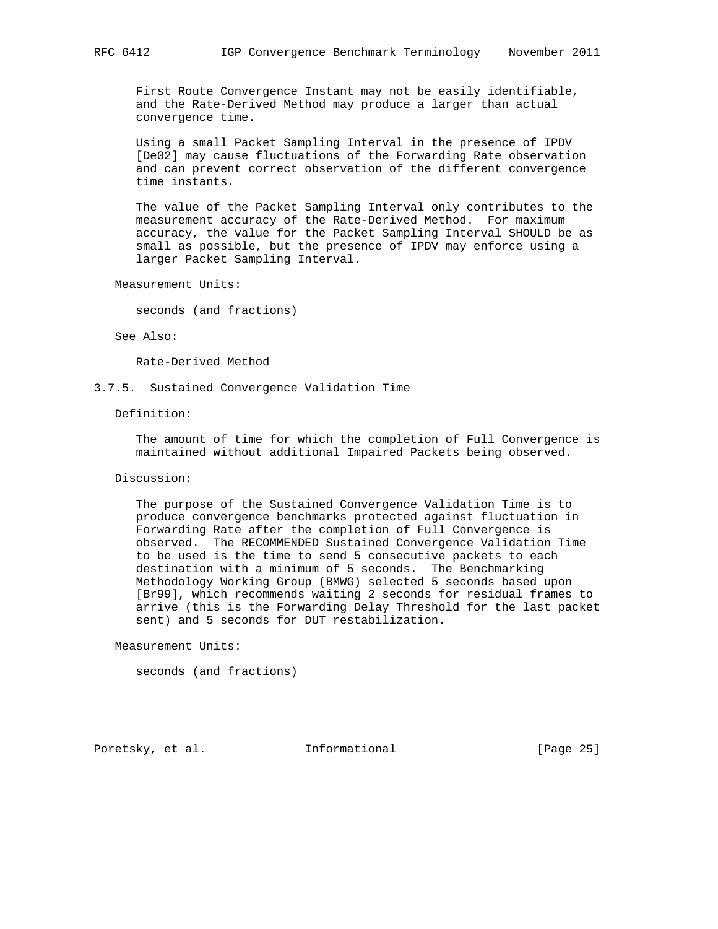First Route Convergence Instant may not be easily identifiable, and the Rate-Derived Method may produce a larger than actual convergence time.

 Using a small Packet Sampling Interval in the presence of IPDV [De02] may cause fluctuations of the Forwarding Rate observation and can prevent correct observation of the different convergence time instants.

 The value of the Packet Sampling Interval only contributes to the measurement accuracy of the Rate-Derived Method. For maximum accuracy, the value for the Packet Sampling Interval SHOULD be as small as possible, but the presence of IPDV may enforce using a larger Packet Sampling Interval.

Measurement Units:

seconds (and fractions)

See Also:

Rate-Derived Method

3.7.5. Sustained Convergence Validation Time

Definition:

 The amount of time for which the completion of Full Convergence is maintained without additional Impaired Packets being observed.

## Discussion:

 The purpose of the Sustained Convergence Validation Time is to produce convergence benchmarks protected against fluctuation in Forwarding Rate after the completion of Full Convergence is observed. The RECOMMENDED Sustained Convergence Validation Time to be used is the time to send 5 consecutive packets to each destination with a minimum of 5 seconds. The Benchmarking Methodology Working Group (BMWG) selected 5 seconds based upon [Br99], which recommends waiting 2 seconds for residual frames to arrive (this is the Forwarding Delay Threshold for the last packet sent) and 5 seconds for DUT restabilization.

Measurement Units:

seconds (and fractions)

Poretsky, et al. 1nformational [Page 25]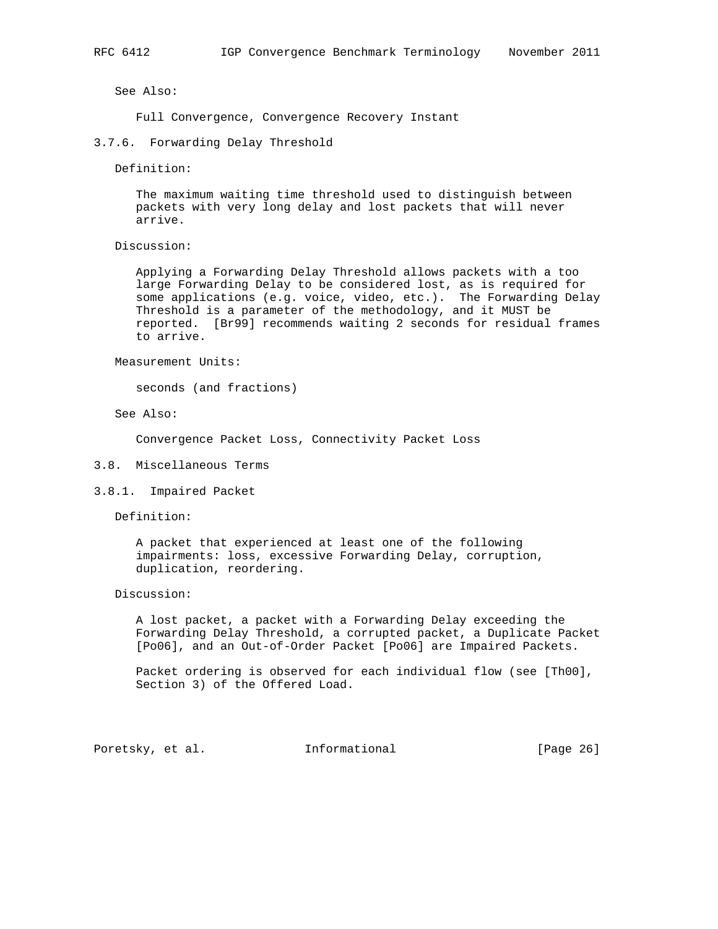See Also:

Full Convergence, Convergence Recovery Instant

#### 3.7.6. Forwarding Delay Threshold

Definition:

 The maximum waiting time threshold used to distinguish between packets with very long delay and lost packets that will never arrive.

Discussion:

 Applying a Forwarding Delay Threshold allows packets with a too large Forwarding Delay to be considered lost, as is required for some applications (e.g. voice, video, etc.). The Forwarding Delay Threshold is a parameter of the methodology, and it MUST be reported. [Br99] recommends waiting 2 seconds for residual frames to arrive.

Measurement Units:

seconds (and fractions)

See Also:

Convergence Packet Loss, Connectivity Packet Loss

- 3.8. Miscellaneous Terms
- 3.8.1. Impaired Packet

Definition:

 A packet that experienced at least one of the following impairments: loss, excessive Forwarding Delay, corruption, duplication, reordering.

Discussion:

 A lost packet, a packet with a Forwarding Delay exceeding the Forwarding Delay Threshold, a corrupted packet, a Duplicate Packet [Po06], and an Out-of-Order Packet [Po06] are Impaired Packets.

 Packet ordering is observed for each individual flow (see [Th00], Section 3) of the Offered Load.

Poretsky, et al. 1nformational [Page 26]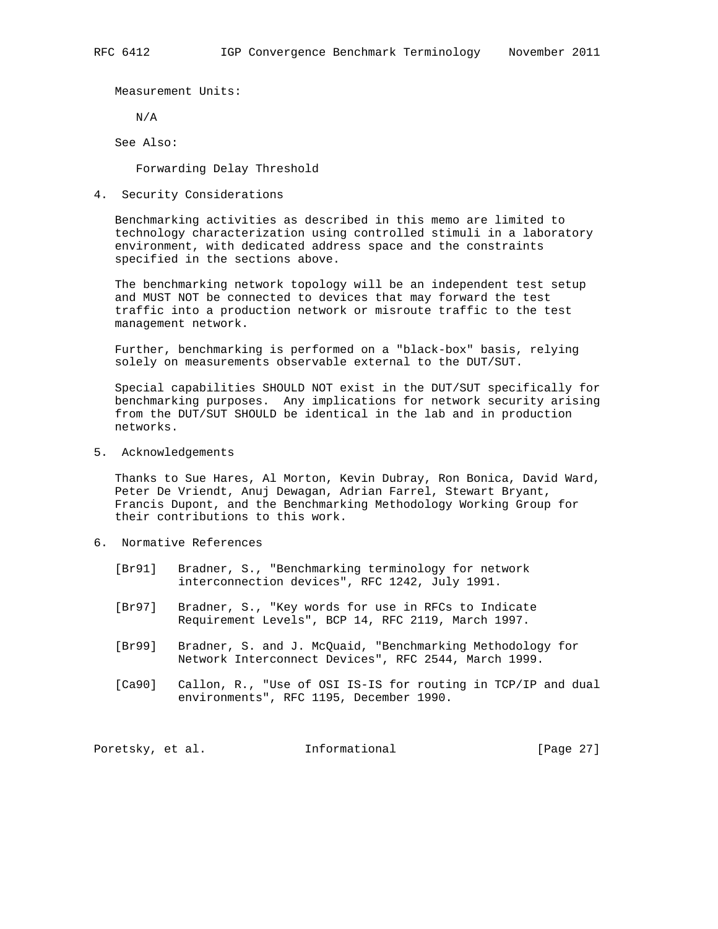Measurement Units:

N/A

See Also:

Forwarding Delay Threshold

4. Security Considerations

 Benchmarking activities as described in this memo are limited to technology characterization using controlled stimuli in a laboratory environment, with dedicated address space and the constraints specified in the sections above.

 The benchmarking network topology will be an independent test setup and MUST NOT be connected to devices that may forward the test traffic into a production network or misroute traffic to the test management network.

 Further, benchmarking is performed on a "black-box" basis, relying solely on measurements observable external to the DUT/SUT.

 Special capabilities SHOULD NOT exist in the DUT/SUT specifically for benchmarking purposes. Any implications for network security arising from the DUT/SUT SHOULD be identical in the lab and in production networks.

5. Acknowledgements

 Thanks to Sue Hares, Al Morton, Kevin Dubray, Ron Bonica, David Ward, Peter De Vriendt, Anuj Dewagan, Adrian Farrel, Stewart Bryant, Francis Dupont, and the Benchmarking Methodology Working Group for their contributions to this work.

- 6. Normative References
	- [Br91] Bradner, S., "Benchmarking terminology for network interconnection devices", RFC 1242, July 1991.
	- [Br97] Bradner, S., "Key words for use in RFCs to Indicate Requirement Levels", BCP 14, RFC 2119, March 1997.
	- [Br99] Bradner, S. and J. McQuaid, "Benchmarking Methodology for Network Interconnect Devices", RFC 2544, March 1999.
	- [Ca90] Callon, R., "Use of OSI IS-IS for routing in TCP/IP and dual environments", RFC 1195, December 1990.

Poretsky, et al. 1nformational [Page 27]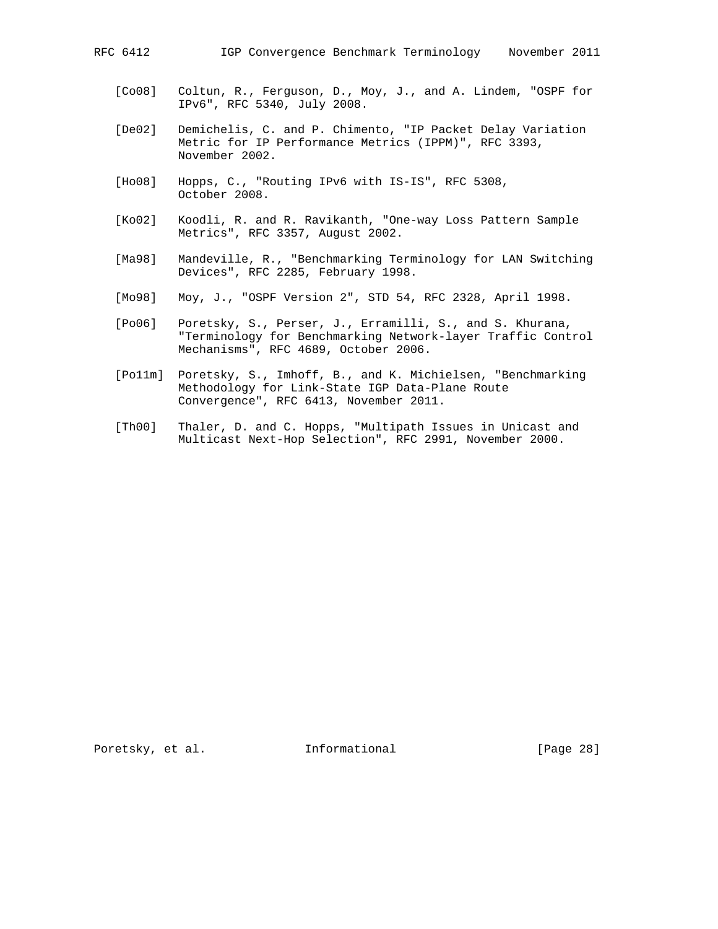- [Co08] Coltun, R., Ferguson, D., Moy, J., and A. Lindem, "OSPF for IPv6", RFC 5340, July 2008.
- [De02] Demichelis, C. and P. Chimento, "IP Packet Delay Variation Metric for IP Performance Metrics (IPPM)", RFC 3393, November 2002.
- [Ho08] Hopps, C., "Routing IPv6 with IS-IS", RFC 5308, October 2008.
- [Ko02] Koodli, R. and R. Ravikanth, "One-way Loss Pattern Sample Metrics", RFC 3357, August 2002.
- [Ma98] Mandeville, R., "Benchmarking Terminology for LAN Switching Devices", RFC 2285, February 1998.
- [Mo98] Moy, J., "OSPF Version 2", STD 54, RFC 2328, April 1998.
- [Po06] Poretsky, S., Perser, J., Erramilli, S., and S. Khurana, "Terminology for Benchmarking Network-layer Traffic Control Mechanisms", RFC 4689, October 2006.
- [Po11m] Poretsky, S., Imhoff, B., and K. Michielsen, "Benchmarking Methodology for Link-State IGP Data-Plane Route Convergence", RFC 6413, November 2011.
- [Th00] Thaler, D. and C. Hopps, "Multipath Issues in Unicast and Multicast Next-Hop Selection", RFC 2991, November 2000.